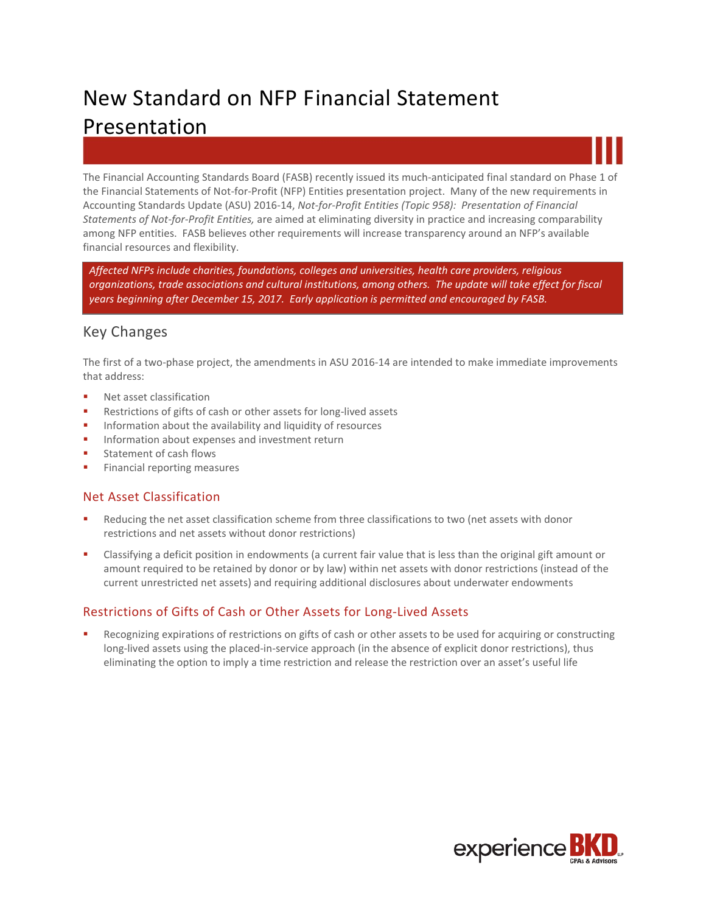# New Standard on NFP Financial Statement Presentation



The Financial Accounting Standards Board (FASB) recently issued its much-anticipated final standard on Phase 1 of the Financial Statements of Not-for-Profit (NFP) Entities presentation project. Many of the new requirements in Accounting Standards Update (ASU) 2016-14, *Not-for-Profit Entities (Topic 958): Presentation of Financial Statements of Not-for-Profit Entities,* are aimed at eliminating diversity in practice and increasing comparability among NFP entities. FASB believes other requirements will increase transparency around an NFP's available financial resources and flexibility.

*Affected NFPs include charities, foundations, colleges and universities, health care providers, religious organizations, trade associations and cultural institutions, among others. The update will take effect for fiscal years beginning after December 15, 2017. Early application is permitted and encouraged by FASB.*

## Key Changes

The first of a two-phase project, the amendments in ASU 2016-14 are intended to make immediate improvements that address:

- Net asset classification
- Restrictions of gifts of cash or other assets for long-lived assets
- **Information about the availability and liquidity of resources**
- Information about expenses and investment return
- **Statement of cash flows**
- **Financial reporting measures**

#### Net Asset Classification

- Reducing the net asset classification scheme from three classifications to two (net assets with donor restrictions and net assets without donor restrictions)
- Classifying a deficit position in endowments (a current fair value that is less than the original gift amount or amount required to be retained by donor or by law) within net assets with donor restrictions (instead of the current unrestricted net assets) and requiring additional disclosures about underwater endowments

## Restrictions of Gifts of Cash or Other Assets for Long-Lived Assets

 Recognizing expirations of restrictions on gifts of cash or other assets to be used for acquiring or constructing long-lived assets using the placed-in-service approach (in the absence of explicit donor restrictions), thus eliminating the option to imply a time restriction and release the restriction over an asset's useful life

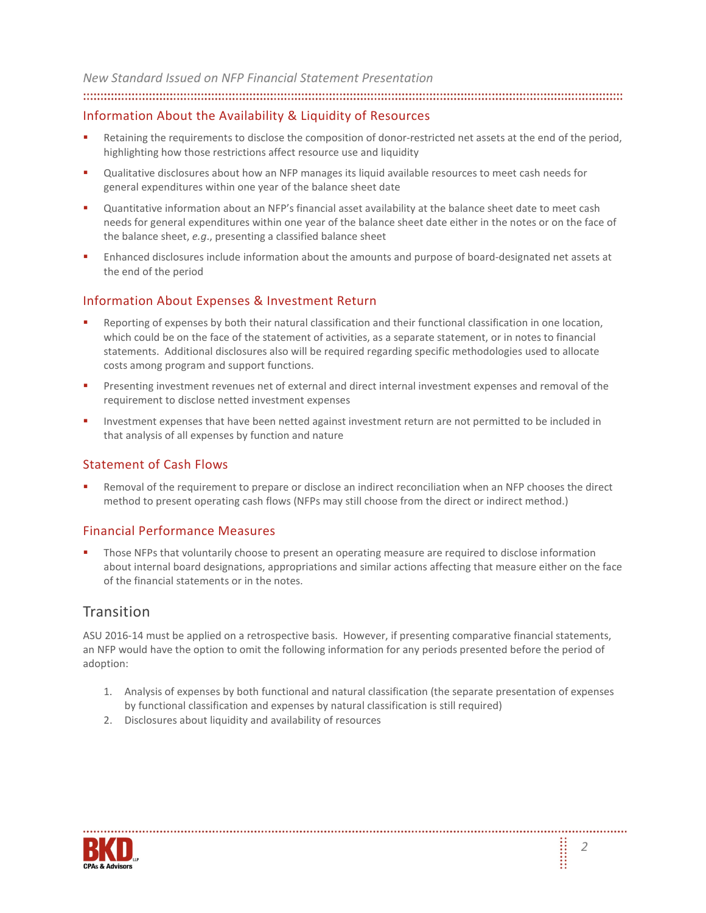*New Standard Issued on NFP Financial Statement Presentation* 

#### Information About the Availability & Liquidity of Resources

- Retaining the requirements to disclose the composition of donor-restricted net assets at the end of the period, highlighting how those restrictions affect resource use and liquidity
- Qualitative disclosures about how an NFP manages its liquid available resources to meet cash needs for general expenditures within one year of the balance sheet date
- Quantitative information about an NFP's financial asset availability at the balance sheet date to meet cash needs for general expenditures within one year of the balance sheet date either in the notes or on the face of the balance sheet, *e.g*., presenting a classified balance sheet
- Enhanced disclosures include information about the amounts and purpose of board-designated net assets at the end of the period

#### Information About Expenses & Investment Return

- Reporting of expenses by both their natural classification and their functional classification in one location, which could be on the face of the statement of activities, as a separate statement, or in notes to financial statements. Additional disclosures also will be required regarding specific methodologies used to allocate costs among program and support functions.
- Presenting investment revenues net of external and direct internal investment expenses and removal of the requirement to disclose netted investment expenses
- Investment expenses that have been netted against investment return are not permitted to be included in that analysis of all expenses by function and nature

#### Statement of Cash Flows

 Removal of the requirement to prepare or disclose an indirect reconciliation when an NFP chooses the direct method to present operating cash flows (NFPs may still choose from the direct or indirect method.)

#### Financial Performance Measures

 Those NFPs that voluntarily choose to present an operating measure are required to disclose information about internal board designations, appropriations and similar actions affecting that measure either on the face of the financial statements or in the notes.

## **Transition**

ASU 2016-14 must be applied on a retrospective basis. However, if presenting comparative financial statements, an NFP would have the option to omit the following information for any periods presented before the period of adoption:

- 1. Analysis of expenses by both functional and natural classification (the separate presentation of expenses by functional classification and expenses by natural classification is still required)
- 2. Disclosures about liquidity and availability of resources